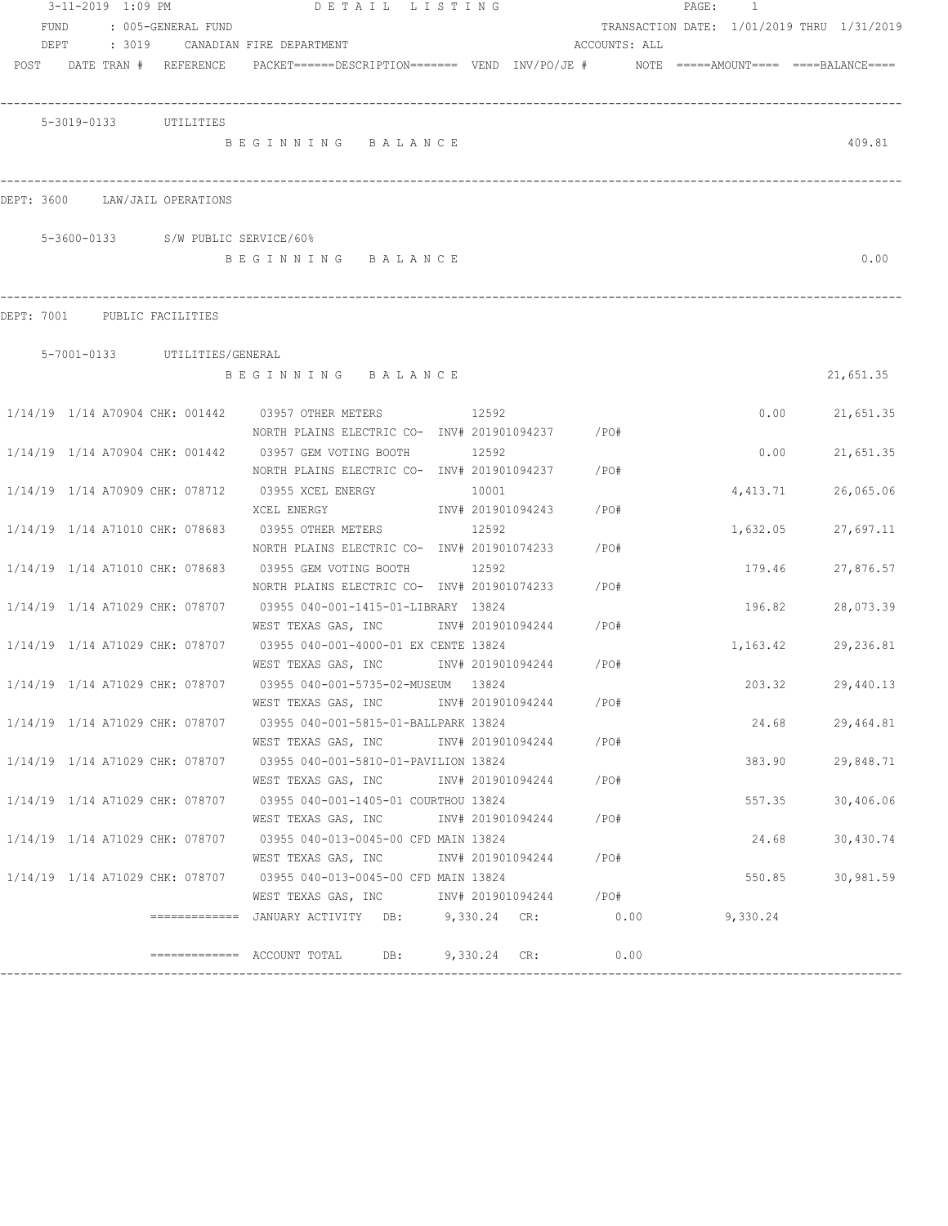|                                 |      | 3-11-2019 1:09 PM |                               |                                                                                         | DETAIL LISTING |       |                   |               |      | PAGE : | $\overline{1}$                             |                  |
|---------------------------------|------|-------------------|-------------------------------|-----------------------------------------------------------------------------------------|----------------|-------|-------------------|---------------|------|--------|--------------------------------------------|------------------|
| FUND                            |      |                   | : 005-GENERAL FUND            |                                                                                         |                |       |                   |               |      |        | TRANSACTION DATE: 1/01/2019 THRU 1/31/2019 |                  |
|                                 | DEPT | : 3019            |                               | CANADIAN FIRE DEPARTMENT                                                                |                |       |                   | ACCOUNTS: ALL |      |        |                                            |                  |
|                                 |      |                   | POST DATE TRAN # REFERENCE    | PACKET======DESCRIPTION======= VEND INV/PO/JE #    NOTE =====AMOUNT==== ====BALANCE==== |                |       |                   |               |      |        |                                            |                  |
|                                 |      |                   |                               |                                                                                         |                |       |                   |               |      |        |                                            |                  |
|                                 |      |                   |                               |                                                                                         |                |       |                   |               |      |        |                                            |                  |
|                                 |      |                   | 5-3019-0133 UTILITIES         |                                                                                         |                |       |                   |               |      |        |                                            |                  |
|                                 |      |                   |                               | BEGINNING BALANCE                                                                       |                |       |                   |               |      |        |                                            | 409.81           |
|                                 |      |                   |                               |                                                                                         |                |       |                   |               |      |        |                                            |                  |
|                                 |      |                   |                               |                                                                                         |                |       |                   |               |      |        |                                            |                  |
| DEPT: 3600 LAW/JAIL OPERATIONS  |      |                   |                               |                                                                                         |                |       |                   |               |      |        |                                            |                  |
|                                 |      |                   |                               |                                                                                         |                |       |                   |               |      |        |                                            |                  |
|                                 |      |                   |                               | 5-3600-0133 S/W PUBLIC SERVICE/60%                                                      |                |       |                   |               |      |        |                                            |                  |
|                                 |      |                   |                               | BEGINNING BALANCE                                                                       |                |       |                   |               |      |        |                                            | 0.00             |
|                                 |      |                   |                               |                                                                                         |                |       |                   |               |      |        |                                            |                  |
| DEPT: 7001 PUBLIC FACILITIES    |      |                   |                               |                                                                                         |                |       |                   |               |      |        |                                            |                  |
|                                 |      |                   |                               |                                                                                         |                |       |                   |               |      |        |                                            |                  |
|                                 |      |                   | 5-7001-0133 UTILITIES/GENERAL |                                                                                         |                |       |                   |               |      |        |                                            |                  |
|                                 |      |                   |                               | BEGINNING BALANCE                                                                       |                |       |                   |               |      |        |                                            | 21,651.35        |
|                                 |      |                   |                               |                                                                                         |                |       |                   |               |      |        |                                            |                  |
|                                 |      |                   |                               | 1/14/19 1/14 A70904 CHK: 001442 03957 OTHER METERS                                      | 12592          |       |                   |               |      |        |                                            | $0.00$ 21,651.35 |
|                                 |      |                   |                               | NORTH PLAINS ELECTRIC CO- INV# 201901094237 / PO#                                       |                |       |                   |               |      |        |                                            |                  |
| 1/14/19 1/14 A70904 CHK: 001442 |      |                   |                               | 03957 GEM VOTING BOOTH                                                                  |                | 12592 |                   |               |      |        | 0.00                                       | 21,651.35        |
|                                 |      |                   |                               | NORTH PLAINS ELECTRIC CO- INV# 201901094237                                             |                |       |                   | $/$ PO#       |      |        |                                            |                  |
| 1/14/19 1/14 A70909 CHK: 078712 |      |                   |                               | 03955 XCEL ENERGY                                                                       |                | 10001 |                   |               |      |        | 4,413.71                                   | 26,065.06        |
|                                 |      |                   |                               | XCEL ENERGY                                                                             |                |       | INV# 201901094243 | /PO#          |      |        |                                            |                  |
| 1/14/19 1/14 A71010 CHK: 078683 |      |                   |                               | 03955 OTHER METERS                                                                      | 12592          |       |                   |               |      |        | 1,632.05                                   | 27,697.11        |
|                                 |      |                   |                               | NORTH PLAINS ELECTRIC CO- INV# 201901074233                                             |                |       |                   | /PO#          |      |        |                                            |                  |
| 1/14/19 1/14 A71010 CHK: 078683 |      |                   |                               | 03955 GEM VOTING BOOTH                                                                  |                | 12592 |                   |               |      |        | 179.46                                     | 27,876.57        |
|                                 |      |                   |                               | NORTH PLAINS ELECTRIC CO- INV# 201901074233                                             |                |       |                   | /PO#          |      |        |                                            |                  |
| 1/14/19 1/14 A71029 CHK: 078707 |      |                   |                               | 03955 040-001-1415-01-LIBRARY 13824                                                     |                |       |                   |               |      |        | 196.82                                     | 28,073.39        |
|                                 |      |                   |                               | WEST TEXAS GAS, INC NW# 201901094244                                                    |                |       |                   | /PO#          |      |        |                                            |                  |
| 1/14/19 1/14 A71029 CHK: 078707 |      |                   |                               | 03955 040-001-4000-01 EX CENTE 13824                                                    |                |       |                   |               |      |        | 1,163.42                                   | 29,236.81        |
|                                 |      |                   |                               | WEST TEXAS GAS, INC NOT INV# 201901094244 / PO#                                         |                |       |                   |               |      |        |                                            |                  |
| 1/14/19 1/14 A71029 CHK: 078707 |      |                   |                               | 03955 040-001-5735-02-MUSEUM 13824                                                      |                |       |                   |               |      |        | 203.32                                     | 29,440.13        |
|                                 |      |                   |                               | WEST TEXAS GAS, INC NV# 201901094244                                                    |                |       |                   | /PO#          |      |        |                                            |                  |
|                                 |      |                   |                               | 1/14/19 1/14 A71029 CHK: 078707 03955 040-001-5815-01-BALLPARK 13824                    |                |       |                   |               |      |        | 24.68                                      | 29,464.81        |
|                                 |      |                   |                               | WEST TEXAS GAS, INC                                                                     |                |       | INV# 201901094244 | /PO#          |      |        |                                            |                  |
| 1/14/19 1/14 A71029 CHK: 078707 |      |                   |                               | 03955 040-001-5810-01-PAVILION 13824                                                    |                |       |                   |               |      |        | 383.90                                     | 29,848.71        |
|                                 |      |                   |                               | WEST TEXAS GAS, INC                                                                     |                |       | INV# 201901094244 | / PO#         |      |        |                                            |                  |
| 1/14/19 1/14 A71029 CHK: 078707 |      |                   |                               | 03955 040-001-1405-01 COURTHOU 13824<br>WEST TEXAS GAS, INC                             |                |       | INV# 201901094244 | /PO#          |      |        | 557.35                                     | 30,406.06        |
| 1/14/19 1/14 A71029 CHK: 078707 |      |                   |                               | 03955 040-013-0045-00 CFD MAIN 13824                                                    |                |       |                   |               |      |        | 24.68                                      | 30,430.74        |
|                                 |      |                   |                               | WEST TEXAS GAS, INC                                                                     |                |       | INV# 201901094244 | /PO#          |      |        |                                            |                  |
| 1/14/19 1/14 A71029 CHK: 078707 |      |                   |                               | 03955 040-013-0045-00 CFD MAIN 13824                                                    |                |       |                   |               |      |        | 550.85                                     | 30,981.59        |
|                                 |      |                   |                               | WEST TEXAS GAS, INC MONTH 201901094244 / PO#                                            |                |       |                   |               |      |        |                                            |                  |
|                                 |      |                   |                               | ============ JANUARY ACTIVITY DB: 9,330.24 CR: 0.00                                     |                |       |                   |               |      |        | 9,330.24                                   |                  |
|                                 |      |                   |                               |                                                                                         |                |       |                   |               |      |        |                                            |                  |
|                                 |      |                   |                               | $\overline{\phantom{1}}$ ============= ACCOUNT TOTAL DB: 9,330.24 CR:                   |                |       |                   |               | 0.00 |        |                                            |                  |
|                                 |      |                   |                               |                                                                                         |                |       |                   |               |      |        |                                            |                  |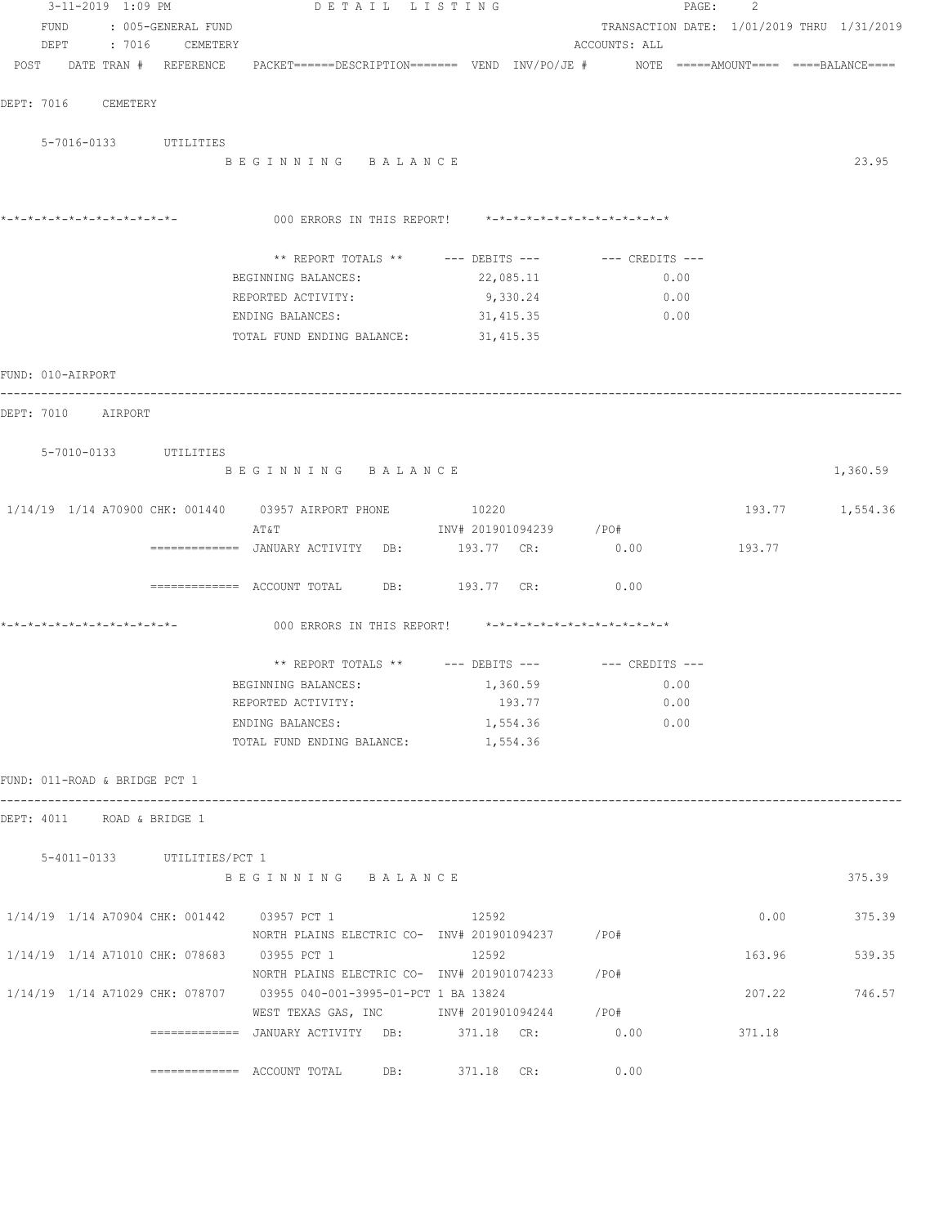|  |                     | 3-11-2019 1:09 PM             | DETAIL LISTING                                                                                                  |           |                        |                 | PAGE: | 2      |                                            |
|--|---------------------|-------------------------------|-----------------------------------------------------------------------------------------------------------------|-----------|------------------------|-----------------|-------|--------|--------------------------------------------|
|  |                     | FUND : 005-GENERAL FUND       |                                                                                                                 |           |                        |                 |       |        | TRANSACTION DATE: 1/01/2019 THRU 1/31/2019 |
|  |                     | DEPT : 7016 CEMETERY          |                                                                                                                 |           |                        | ACCOUNTS: ALL   |       |        |                                            |
|  |                     |                               | POST DATE TRAN # REFERENCE PACKET======DESCRIPTION======= VEND INV/PO/JE # NOTE =====AMOUNT==== ====BALANCE==== |           |                        |                 |       |        |                                            |
|  |                     |                               |                                                                                                                 |           |                        |                 |       |        |                                            |
|  | DEPT: 7016 CEMETERY |                               |                                                                                                                 |           |                        |                 |       |        |                                            |
|  |                     | 5-7016-0133 UTILITIES         |                                                                                                                 |           |                        |                 |       |        |                                            |
|  |                     |                               | BEGINNING BALANCE                                                                                               |           |                        |                 |       |        | 23.95                                      |
|  |                     |                               |                                                                                                                 |           |                        |                 |       |        |                                            |
|  |                     |                               |                                                                                                                 |           |                        |                 |       |        |                                            |
|  |                     |                               | 000 ERRORS IN THIS REPORT! *-*-*-*-*-*-*-*-*-*-*-*-*-*-                                                         |           |                        |                 |       |        |                                            |
|  |                     |                               | ** REPORT TOTALS ** --- DEBITS --- -- -- CREDITS ---                                                            |           |                        |                 |       |        |                                            |
|  |                     |                               | BEGINNING BALANCES:                                                                                             | 22,085.11 |                        |                 | 0.00  |        |                                            |
|  |                     |                               | REPORTED ACTIVITY:                                                                                              |           | 9,330.24               |                 | 0.00  |        |                                            |
|  |                     |                               | ENDING BALANCES:                                                                                                | 31,415.35 |                        |                 | 0.00  |        |                                            |
|  |                     |                               | TOTAL FUND ENDING BALANCE: 31,415.35                                                                            |           |                        |                 |       |        |                                            |
|  |                     |                               |                                                                                                                 |           |                        |                 |       |        |                                            |
|  | FUND: 010-AIRPORT   |                               |                                                                                                                 |           |                        |                 |       |        |                                            |
|  | DEPT: 7010 AIRPORT  |                               |                                                                                                                 |           |                        |                 |       |        |                                            |
|  |                     |                               |                                                                                                                 |           |                        |                 |       |        |                                            |
|  |                     | 5-7010-0133 UTILITIES         |                                                                                                                 |           |                        |                 |       |        |                                            |
|  |                     |                               | BEGINNING BALANCE                                                                                               |           |                        |                 |       |        | 1,360.59                                   |
|  |                     |                               |                                                                                                                 |           |                        |                 |       |        |                                            |
|  |                     |                               | 1/14/19  1/14  A70900  CHK: 001440  03957  AIRPORT PHONE  10220<br>AT&T                                         |           | INV# 201901094239 /PO# |                 |       |        | 193.77 1,554.36                            |
|  |                     |                               | ============= JANUARY ACTIVITY DB:                                                                              |           |                        | 193.77 CR: 0.00 |       | 193.77 |                                            |
|  |                     |                               |                                                                                                                 |           |                        |                 |       |        |                                            |
|  |                     |                               | ============ ACCOUNT TOTAL DB: 193.77 CR: 0.00                                                                  |           |                        |                 |       |        |                                            |
|  |                     |                               |                                                                                                                 |           |                        |                 |       |        |                                            |
|  |                     |                               | 000 ERRORS IN THIS REPORT! *-*-*-*-*-*-*-*-*-*-*-*-*-*-                                                         |           |                        |                 |       |        |                                            |
|  |                     |                               |                                                                                                                 |           |                        |                 |       |        |                                            |
|  |                     |                               | ** REPORT TOTALS ** --- DEBITS --- -- -- CREDITS ---<br>BEGINNING BALANCES: 1,360.59                            |           |                        | 0.00            |       |        |                                            |
|  |                     |                               | REPORTED ACTIVITY:                                                                                              |           | 193.77                 |                 | 0.00  |        |                                            |
|  |                     |                               | ENDING BALANCES:                                                                                                |           | 1,554.36               |                 | 0.00  |        |                                            |
|  |                     |                               | TOTAL FUND ENDING BALANCE:                                                                                      |           | 1,554.36               |                 |       |        |                                            |
|  |                     |                               |                                                                                                                 |           |                        |                 |       |        |                                            |
|  |                     | FUND: 011-ROAD & BRIDGE PCT 1 |                                                                                                                 |           |                        |                 |       |        |                                            |
|  |                     |                               |                                                                                                                 |           |                        |                 |       |        |                                            |
|  |                     | DEPT: 4011 ROAD & BRIDGE 1    |                                                                                                                 |           |                        |                 |       |        |                                            |
|  |                     | 5-4011-0133 UTILITIES/PCT 1   |                                                                                                                 |           |                        |                 |       |        |                                            |
|  |                     |                               | BEGINNING BALANCE                                                                                               |           |                        |                 |       |        | 375.39                                     |
|  |                     |                               |                                                                                                                 |           |                        |                 |       |        |                                            |
|  |                     |                               | 1/14/19 1/14 A70904 CHK: 001442 03957 PCT 1                                                                     | 12592     |                        |                 |       |        | $0.00$ 375.39                              |
|  |                     |                               |                                                                                                                 |           |                        |                 |       |        |                                            |
|  |                     |                               | 1/14/19 1/14 A71010 CHK: 078683 03955 PCT 1<br>NORTH PLAINS ELECTRIC CO- INV# 201901074233 / PO#                | 12592     |                        |                 |       | 163.96 | 539.35                                     |
|  |                     |                               | 1/14/19 1/14 A71029 CHK: 078707 03955 040-001-3995-01-PCT 1 BA 13824                                            |           |                        |                 |       | 207.22 | 746.57                                     |
|  |                     |                               | WEST TEXAS GAS, INC MONTH 201901094244 / PO#                                                                    |           |                        |                 |       |        |                                            |
|  |                     |                               | =============   JANUARY  ACTIVITY     DB:              371.18     CR:                                           |           |                        | 0.00            |       | 371.18 |                                            |
|  |                     |                               |                                                                                                                 |           |                        |                 |       |        |                                            |
|  |                     |                               | ============= ACCOUNT TOTAL DB: 371.18 CR:                                                                      |           |                        | 0.00            |       |        |                                            |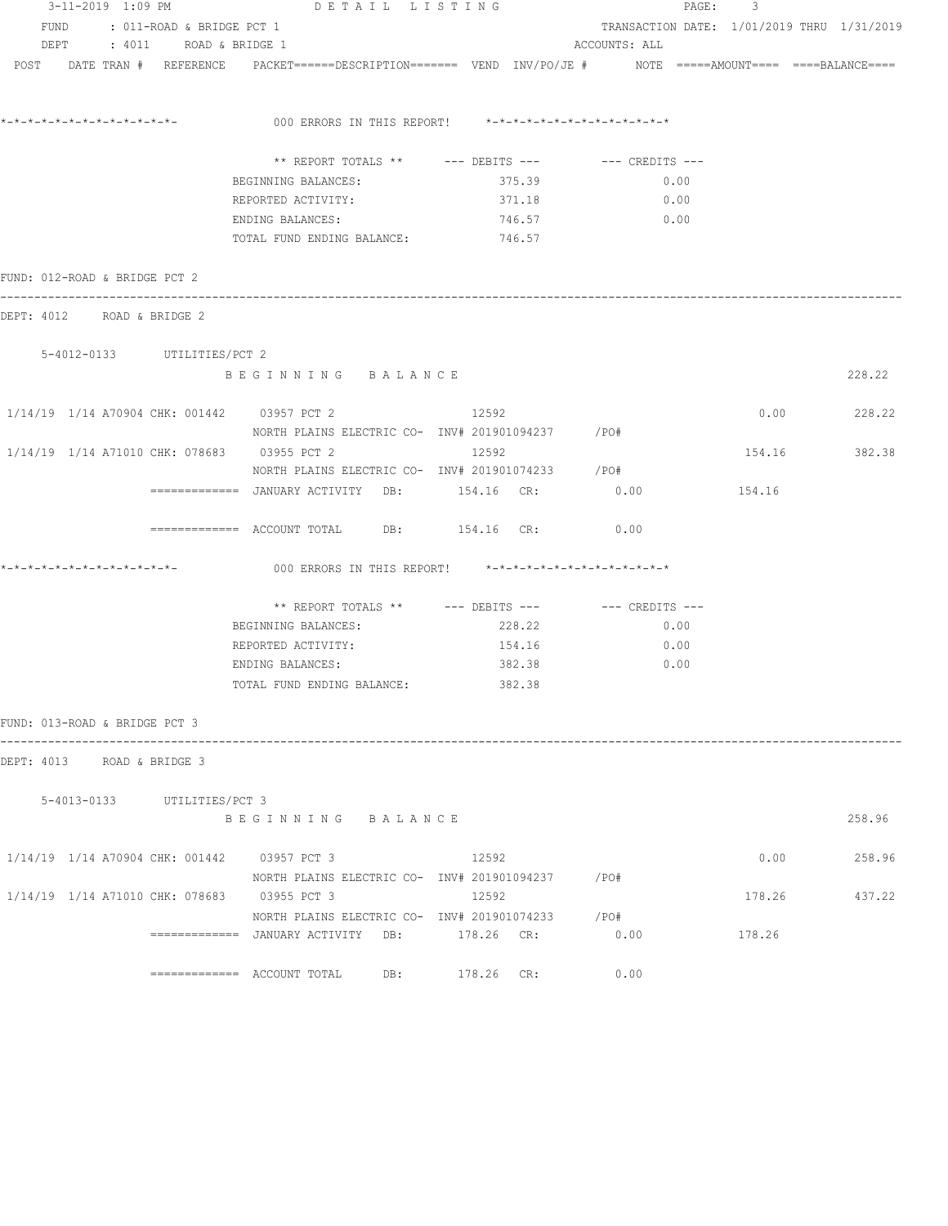| 3-11-2019 1:09 PM                                                                                               | DETAIL LISTING                                                                                                              |                                            |               | PAGE: 3       |               |
|-----------------------------------------------------------------------------------------------------------------|-----------------------------------------------------------------------------------------------------------------------------|--------------------------------------------|---------------|---------------|---------------|
| FUND : 011-ROAD & BRIDGE PCT 1                                                                                  |                                                                                                                             | TRANSACTION DATE: 1/01/2019 THRU 1/31/2019 |               |               |               |
| DEPT : 4011 ROAD & BRIDGE 1                                                                                     |                                                                                                                             |                                            | ACCOUNTS: ALL |               |               |
| POST DATE TRAN # REFERENCE PACKET======DESCRIPTION======= VEND INV/PO/JE # NOTE =====AMOUNT==== ====BALANCE==== |                                                                                                                             |                                            |               |               |               |
|                                                                                                                 |                                                                                                                             |                                            |               |               |               |
|                                                                                                                 | ** REPORT TOTALS ** --- DEBITS --- -- CREDITS ---                                                                           |                                            |               |               |               |
|                                                                                                                 | BEGINNING BALANCES:                                                                                                         | 375.39                                     | 0.00          |               |               |
|                                                                                                                 | REPORTED ACTIVITY:                                                                                                          | 371.18                                     | 0.00          |               |               |
|                                                                                                                 | ENDING BALANCES:                                                                                                            | 746.57                                     | 0.00          |               |               |
|                                                                                                                 | TOTAL FUND ENDING BALANCE:                                                                                                  | 746.57                                     |               |               |               |
| FUND: 012-ROAD & BRIDGE PCT 2                                                                                   |                                                                                                                             |                                            |               |               |               |
| DEPT: 4012 ROAD & BRIDGE 2                                                                                      |                                                                                                                             |                                            |               |               |               |
| 5-4012-0133 UTILITIES/PCT 2                                                                                     |                                                                                                                             |                                            |               |               |               |
|                                                                                                                 | BEGINNING BALANCE                                                                                                           |                                            |               |               | 228.22        |
| 1/14/19 1/14 A70904 CHK: 001442 03957 PCT 2 12592                                                               |                                                                                                                             |                                            |               |               | $0.00$ 228.22 |
|                                                                                                                 | NORTH PLAINS ELECTRIC CO- INV# 201901094237 / PO#                                                                           |                                            |               |               |               |
| 1/14/19  1/14  A71010  CHK:  078683  03955  PCT  2                                                              |                                                                                                                             | 12592                                      |               | 154.16 382.38 |               |
|                                                                                                                 | NORTH PLAINS ELECTRIC CO- INV# 201901074233 / PO#<br>=============   JANUARY  ACTIVITY     DB:               154.16     CR: |                                            | 0.00          | 154.16        |               |
|                                                                                                                 | ============ ACCOUNT TOTAL DB: 154.16 CR: 0.00                                                                              |                                            |               |               |               |
|                                                                                                                 |                                                                                                                             |                                            |               |               |               |
|                                                                                                                 | 000 ERRORS IN THIS REPORT! *-*-*-*-*-*-*-*-*-*-*-*-*-*-                                                                     |                                            |               |               |               |
|                                                                                                                 | ** REPORT TOTALS ** --- DEBITS --- -- -- CREDITS ---                                                                        |                                            |               |               |               |
|                                                                                                                 | BEGINNING BALANCES: 228.22                                                                                                  |                                            | 0.00          |               |               |
|                                                                                                                 | REPORTED ACTIVITY:                                                                                                          | 154.16                                     | 0.00          |               |               |
|                                                                                                                 | ENDING BALANCES:                                                                                                            | 382.38                                     | 0.00          |               |               |
|                                                                                                                 | TOTAL FUND ENDING BALANCE: 382.38                                                                                           |                                            |               |               |               |
| FUND: 013-ROAD & BRIDGE PCT 3                                                                                   |                                                                                                                             |                                            |               |               |               |
| DEPT: 4013 ROAD & BRIDGE 3                                                                                      |                                                                                                                             |                                            |               |               |               |
| 5-4013-0133 UTILITIES/PCT 3                                                                                     |                                                                                                                             |                                            |               |               |               |
|                                                                                                                 | BEGINNING BALANCE                                                                                                           |                                            |               |               | 258.96        |
| 1/14/19 1/14 A70904 CHK: 001442 03957 PCT 3                                                                     |                                                                                                                             | 12592                                      |               | 0.00          | 258.96        |
|                                                                                                                 | NORTH PLAINS ELECTRIC CO- INV# 201901094237 / PO#                                                                           |                                            |               |               |               |
| 1/14/19 1/14 A71010 CHK: 078683 03955 PCT 3                                                                     |                                                                                                                             | 12592                                      |               | 178.26        | 437.22        |
|                                                                                                                 | NORTH PLAINS ELECTRIC CO- INV# 201901074233 / PO#                                                                           |                                            |               |               |               |
|                                                                                                                 | ============= JANUARY ACTIVITY DB: 178.26 CR:                                                                               |                                            | 0.00          | 178.26        |               |
|                                                                                                                 | $\texttt{-----} \texttt{-----}$ ACCOUNT TOTAL DB: 178.26 CR:                                                                |                                            | 0.00          |               |               |